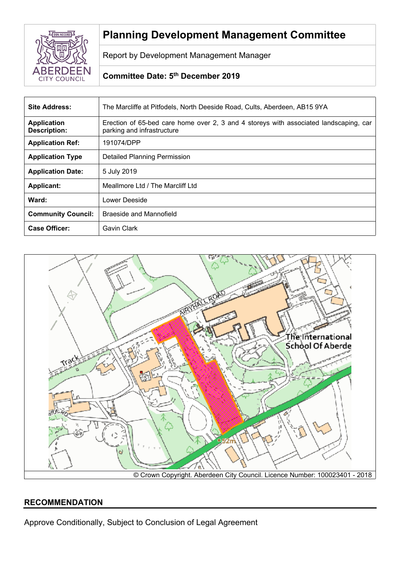

# **Planning Development Management Committee**

Report by Development Management Manager

# **Committee Date: 5 th December 2019**

| <b>Site Address:</b>                      | The Marcliffe at Pitfodels, North Deeside Road, Cults, Aberdeen, AB15 9YA                                           |
|-------------------------------------------|---------------------------------------------------------------------------------------------------------------------|
| <b>Application</b><br><b>Description:</b> | Erection of 65-bed care home over 2, 3 and 4 storeys with associated landscaping, car<br>parking and infrastructure |
| <b>Application Ref:</b>                   | 191074/DPP                                                                                                          |
| <b>Application Type</b>                   | <b>Detailed Planning Permission</b>                                                                                 |
| <b>Application Date:</b>                  | 5 July 2019                                                                                                         |
| <b>Applicant:</b>                         | Meallmore Ltd / The Marcliff Ltd                                                                                    |
| Ward:                                     | Lower Deeside                                                                                                       |
| <b>Community Council:</b>                 | Braeside and Mannofield                                                                                             |
| <b>Case Officer:</b>                      | Gavin Clark                                                                                                         |



## **RECOMMENDATION**

Approve Conditionally, Subject to Conclusion of Legal Agreement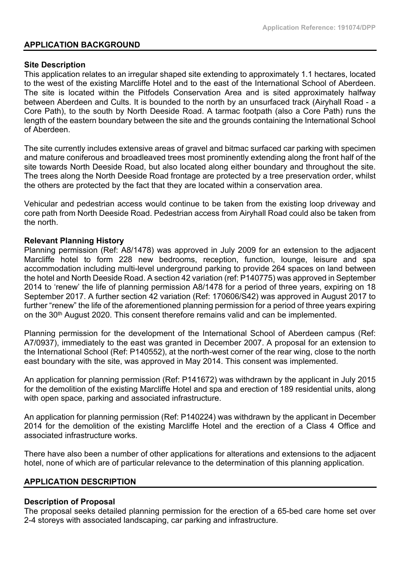#### **APPLICATION BACKGROUND**

#### **Site Description**

This application relates to an irregular shaped site extending to approximately 1.1 hectares, located to the west of the existing Marcliffe Hotel and to the east of the International School of Aberdeen. The site is located within the Pitfodels Conservation Area and is sited approximately halfway between Aberdeen and Cults. It is bounded to the north by an unsurfaced track (Airyhall Road - a Core Path), to the south by North Deeside Road. A tarmac footpath (also a Core Path) runs the length of the eastern boundary between the site and the grounds containing the International School of Aberdeen.

The site currently includes extensive areas of gravel and bitmac surfaced car parking with specimen and mature coniferous and broadleaved trees most prominently extending along the front half of the site towards North Deeside Road, but also located along either boundary and throughout the site. The trees along the North Deeside Road frontage are protected by a tree preservation order, whilst the others are protected by the fact that they are located within a conservation area.

Vehicular and pedestrian access would continue to be taken from the existing loop driveway and core path from North Deeside Road. Pedestrian access from Airyhall Road could also be taken from the north.

#### **Relevant Planning History**

Planning permission (Ref: A8/1478) was approved in July 2009 for an extension to the adjacent Marcliffe hotel to form 228 new bedrooms, reception, function, lounge, leisure and spa accommodation including multi-level underground parking to provide 264 spaces on land between the hotel and North Deeside Road. A section 42 variation (ref: P140775) was approved in September 2014 to 'renew' the life of planning permission A8/1478 for a period of three years, expiring on 18 September 2017. A further section 42 variation (Ref: 170606/S42) was approved in August 2017 to further "renew" the life of the aforementioned planning permission for a period of three years expiring on the 30th August 2020. This consent therefore remains valid and can be implemented.

Planning permission for the development of the International School of Aberdeen campus (Ref: A7/0937), immediately to the east was granted in December 2007. A proposal for an extension to the International School (Ref: P140552), at the north-west corner of the rear wing, close to the north east boundary with the site, was approved in May 2014. This consent was implemented.

An application for planning permission (Ref: P141672) was withdrawn by the applicant in July 2015 for the demolition of the existing Marcliffe Hotel and spa and erection of 189 residential units, along with open space, parking and associated infrastructure.

An application for planning permission (Ref: P140224) was withdrawn by the applicant in December 2014 for the demolition of the existing Marcliffe Hotel and the erection of a Class 4 Office and associated infrastructure works.

There have also been a number of other applications for alterations and extensions to the adjacent hotel, none of which are of particular relevance to the determination of this planning application.

## **APPLICATION DESCRIPTION**

#### **Description of Proposal**

The proposal seeks detailed planning permission for the erection of a 65-bed care home set over 2-4 storeys with associated landscaping, car parking and infrastructure.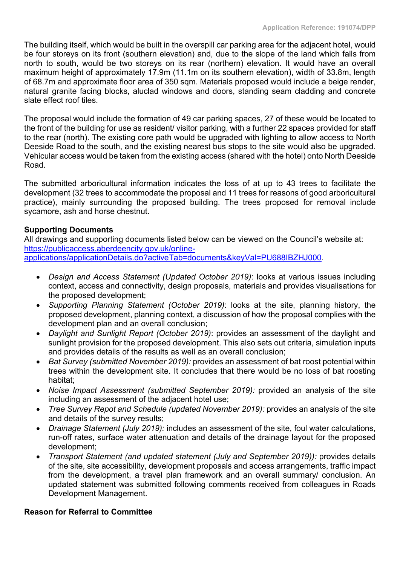The building itself, which would be built in the overspill car parking area for the adjacent hotel, would be four storeys on its front (southern elevation) and, due to the slope of the land which falls from north to south, would be two storeys on its rear (northern) elevation. It would have an overall maximum height of approximately 17.9m (11.1m on its southern elevation), width of 33.8m, length of 68.7m and approximate floor area of 350 sqm. Materials proposed would include a beige render, natural granite facing blocks, aluclad windows and doors, standing seam cladding and concrete slate effect roof tiles

The proposal would include the formation of 49 car parking spaces, 27 of these would be located to the front of the building for use as resident/ visitor parking, with a further 22 spaces provided for staff to the rear (north). The existing core path would be upgraded with lighting to allow access to North Deeside Road to the south, and the existing nearest bus stops to the site would also be upgraded. Vehicular access would be taken from the existing access (shared with the hotel) onto North Deeside Road.

The submitted arboricultural information indicates the loss of at up to 43 trees to facilitate the development (32 trees to accommodate the proposal and 11 trees for reasons of good arboricultural practice), mainly surrounding the proposed building. The trees proposed for removal include sycamore, ash and horse chestnut.

## **Supporting Documents**

All drawings and supporting documents listed below can be viewed on the Council's website at: [https://publicaccess.aberdeencity.gov.uk/online](https://publicaccess.aberdeencity.gov.uk/online-applications/applicationDetails.do?activeTab=documents&keyVal=PU688IBZHJ000)[applications/applicationDetails.do?activeTab=documents&keyVal=PU688IBZHJ000.](https://publicaccess.aberdeencity.gov.uk/online-applications/applicationDetails.do?activeTab=documents&keyVal=PU688IBZHJ000)

- *Design and Access Statement (Updated October 2019)*: looks at various issues including context, access and connectivity, design proposals, materials and provides visualisations for the proposed development;
- *Supporting Planning Statement (October 2019)*: looks at the site, planning history, the proposed development, planning context, a discussion of how the proposal complies with the development plan and an overall conclusion;
- *Daylight and Sunlight Report (October 2019)*: provides an assessment of the daylight and sunlight provision for the proposed development. This also sets out criteria, simulation inputs and provides details of the results as well as an overall conclusion;
- *Bat Survey (submitted November 2019):* provides an assessment of bat roost potential within trees within the development site. It concludes that there would be no loss of bat roosting habitat;
- *Noise Impact Assessment (submitted September 2019):* provided an analysis of the site including an assessment of the adjacent hotel use;
- *Tree Survey Repot and Schedule (updated November 2019):* provides an analysis of the site and details of the survey results;
- *Drainage Statement (July 2019):* includes an assessment of the site, foul water calculations, run-off rates, surface water attenuation and details of the drainage layout for the proposed development;
- *Transport Statement (and updated statement (July and September 2019)):* provides details of the site, site accessibility, development proposals and access arrangements, traffic impact from the development, a travel plan framework and an overall summary/ conclusion. An updated statement was submitted following comments received from colleagues in Roads Development Management.

## **Reason for Referral to Committee**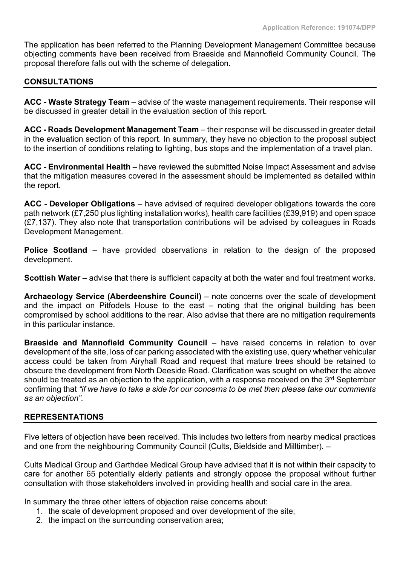The application has been referred to the Planning Development Management Committee because objecting comments have been received from Braeside and Mannofield Community Council. The proposal therefore falls out with the scheme of delegation.

## **CONSULTATIONS**

**ACC - Waste Strategy Team** – advise of the waste management requirements. Their response will be discussed in greater detail in the evaluation section of this report.

**ACC - Roads Development Management Team** – their response will be discussed in greater detail in the evaluation section of this report. In summary, they have no objection to the proposal subject to the insertion of conditions relating to lighting, bus stops and the implementation of a travel plan.

**ACC - Environmental Health** – have reviewed the submitted Noise Impact Assessment and advise that the mitigation measures covered in the assessment should be implemented as detailed within the report.

**ACC - Developer Obligations** – have advised of required developer obligations towards the core path network (£7,250 plus lighting installation works), health care facilities (£39,919) and open space (£7,137). They also note that transportation contributions will be advised by colleagues in Roads Development Management.

**Police Scotland** – have provided observations in relation to the design of the proposed development.

**Scottish Water** – advise that there is sufficient capacity at both the water and foul treatment works.

**Archaeology Service (Aberdeenshire Council)** – note concerns over the scale of development and the impact on Pitfodels House to the east – noting that the original building has been compromised by school additions to the rear. Also advise that there are no mitigation requirements in this particular instance.

**Braeside and Mannofield Community Council** – have raised concerns in relation to over development of the site, loss of car parking associated with the existing use, query whether vehicular access could be taken from Airyhall Road and request that mature trees should be retained to obscure the development from North Deeside Road. Clarification was sought on whether the above should be treated as an objection to the application, with a response received on the 3<sup>rd</sup> September confirming that "if we have to take a side for our concerns to be met then please take our comments *as an objection".*

## **REPRESENTATIONS**

Five letters of objection have been received. This includes two letters from nearby medical practices and one from the neighbouring Community Council (Cults, Bieldside and Milltimber). –

Cults Medical Group and Garthdee Medical Group have advised that it is not within their capacity to care for another 65 potentially elderly patients and strongly oppose the proposal without further consultation with those stakeholders involved in providing health and social care in the area.

In summary the three other letters of objection raise concerns about:

- 1. the scale of development proposed and over development of the site;
- 2. the impact on the surrounding conservation area;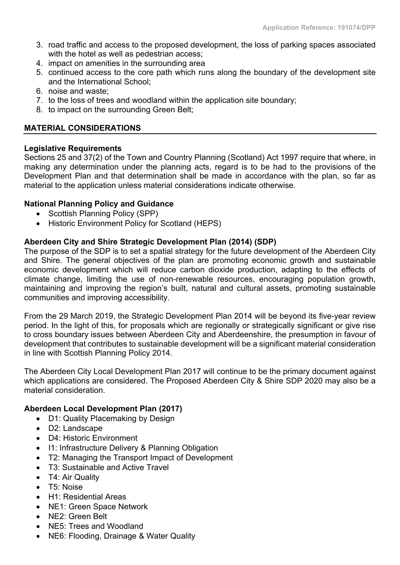- 3. road traffic and access to the proposed development, the loss of parking spaces associated with the hotel as well as pedestrian access;
- 4. impact on amenities in the surrounding area
- 5. continued access to the core path which runs along the boundary of the development site and the International School;
- 6. noise and waste;
- 7. to the loss of trees and woodland within the application site boundary;
- 8. to impact on the surrounding Green Belt;

## **MATERIAL CONSIDERATIONS**

## **Legislative Requirements**

Sections 25 and 37(2) of the Town and Country Planning (Scotland) Act 1997 require that where, in making any determination under the planning acts, regard is to be had to the provisions of the Development Plan and that determination shall be made in accordance with the plan, so far as material to the application unless material considerations indicate otherwise.

## **National Planning Policy and Guidance**

- Scottish Planning Policy (SPP)
- Historic Environment Policy for Scotland (HEPS)

## **Aberdeen City and Shire Strategic Development Plan (2014) (SDP)**

The purpose of the SDP is to set a spatial strategy for the future development of the Aberdeen City and Shire. The general objectives of the plan are promoting economic growth and sustainable economic development which will reduce carbon dioxide production, adapting to the effects of climate change, limiting the use of non-renewable resources, encouraging population growth, maintaining and improving the region's built, natural and cultural assets, promoting sustainable communities and improving accessibility.

From the 29 March 2019, the Strategic Development Plan 2014 will be beyond its five-year review period. In the light of this, for proposals which are regionally or strategically significant or give rise to cross boundary issues between Aberdeen City and Aberdeenshire, the presumption in favour of development that contributes to sustainable development will be a significant material consideration in line with Scottish Planning Policy 2014.

The Aberdeen City Local Development Plan 2017 will continue to be the primary document against which applications are considered. The Proposed Aberdeen City & Shire SDP 2020 may also be a material consideration.

## **Aberdeen Local Development Plan (2017)**

- D1: Quality Placemaking by Design
- D2: Landscape
- D4: Historic Environment
- I1: Infrastructure Delivery & Planning Obligation
- T2: Managing the Transport Impact of Development
- T3: Sustainable and Active Travel
- T4: Air Quality
- T5: Noise
- H1: Residential Areas
- NE1: Green Space Network
- NE2: Green Belt
- NE5: Trees and Woodland
- NE6: Flooding, Drainage & Water Quality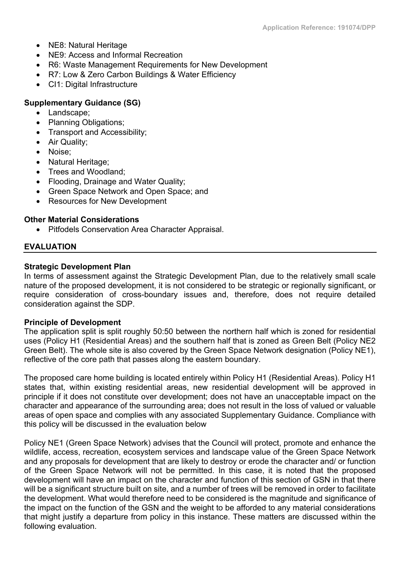- NE8: Natural Heritage
- NE9: Access and Informal Recreation
- R6: Waste Management Requirements for New Development
- R7: Low & Zero Carbon Buildings & Water Efficiency
- CI1: Digital Infrastructure

## **Supplementary Guidance (SG)**

- Landscape;
- Planning Obligations;
- Transport and Accessibility;
- Air Quality;
- Noise:
- Natural Heritage;
- Trees and Woodland;
- Flooding, Drainage and Water Quality;
- Green Space Network and Open Space; and
- Resources for New Development

## **Other Material Considerations**

Pitfodels Conservation Area Character Appraisal.

## **EVALUATION**

## **Strategic Development Plan**

In terms of assessment against the Strategic Development Plan, due to the relatively small scale nature of the proposed development, it is not considered to be strategic or regionally significant, or require consideration of cross-boundary issues and, therefore, does not require detailed consideration against the SDP.

## **Principle of Development**

The application split is split roughly 50:50 between the northern half which is zoned for residential uses (Policy H1 (Residential Areas) and the southern half that is zoned as Green Belt (Policy NE2 Green Belt). The whole site is also covered by the Green Space Network designation (Policy NE1), reflective of the core path that passes along the eastern boundary.

The proposed care home building is located entirely within Policy H1 (Residential Areas). Policy H1 states that, within existing residential areas, new residential development will be approved in principle if it does not constitute over development; does not have an unacceptable impact on the character and appearance of the surrounding area; does not result in the loss of valued or valuable areas of open space and complies with any associated Supplementary Guidance. Compliance with this policy will be discussed in the evaluation below

Policy NE1 (Green Space Network) advises that the Council will protect, promote and enhance the wildlife, access, recreation, ecosystem services and landscape value of the Green Space Network and any proposals for development that are likely to destroy or erode the character and/ or function of the Green Space Network will not be permitted. In this case, it is noted that the proposed development will have an impact on the character and function of this section of GSN in that there will be a significant structure built on site, and a number of trees will be removed in order to facilitate the development. What would therefore need to be considered is the magnitude and significance of the impact on the function of the GSN and the weight to be afforded to any material considerations that might justify a departure from policy in this instance. These matters are discussed within the following evaluation.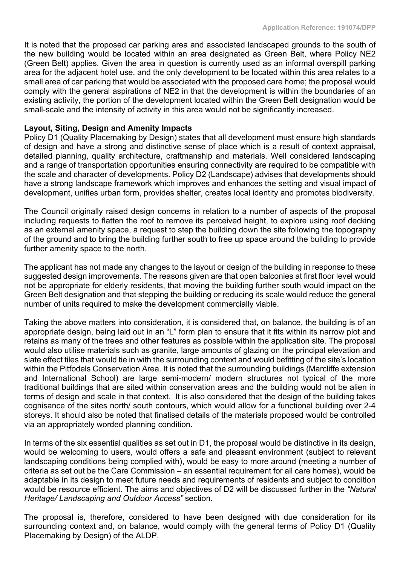It is noted that the proposed car parking area and associated landscaped grounds to the south of the new building would be located within an area designated as Green Belt, where Policy NE2 (Green Belt) applies. Given the area in question is currently used as an informal overspill parking area for the adjacent hotel use, and the only development to be located within this area relates to a small area of car parking that would be associated with the proposed care home; the proposal would comply with the general aspirations of NE2 in that the development is within the boundaries of an existing activity, the portion of the development located within the Green Belt designation would be small-scale and the intensity of activity in this area would not be significantly increased.

## **Layout, Siting, Design and Amenity Impacts**

Policy D1 (Quality Placemaking by Design) states that all development must ensure high standards of design and have a strong and distinctive sense of place which is a result of context appraisal, detailed planning, quality architecture, craftmanship and materials. Well considered landscaping and a range of transportation opportunities ensuring connectivity are required to be compatible with the scale and character of developments. Policy D2 (Landscape) advises that developments should have a strong landscape framework which improves and enhances the setting and visual impact of development, unifies urban form, provides shelter, creates local identity and promotes biodiversity.

The Council originally raised design concerns in relation to a number of aspects of the proposal including requests to flatten the roof to remove its perceived height, to explore using roof decking as an external amenity space, a request to step the building down the site following the topography of the ground and to bring the building further south to free up space around the building to provide further amenity space to the north.

The applicant has not made any changes to the layout or design of the building in response to these suggested design improvements. The reasons given are that open balconies at first floor level would not be appropriate for elderly residents, that moving the building further south would impact on the Green Belt designation and that stepping the building or reducing its scale would reduce the general number of units required to make the development commercially viable.

Taking the above matters into consideration, it is considered that, on balance, the building is of an appropriate design, being laid out in an "L" form plan to ensure that it fits within its narrow plot and retains as many of the trees and other features as possible within the application site. The proposal would also utilise materials such as granite, large amounts of glazing on the principal elevation and slate effect tiles that would tie in with the surrounding context and would befitting of the site's location within the Pitfodels Conservation Area. It is noted that the surrounding buildings (Marcliffe extension and International School) are large semi-modern/ modern structures not typical of the more traditional buildings that are sited within conservation areas and the building would not be alien in terms of design and scale in that context. It is also considered that the design of the building takes cognisance of the sites north/ south contours, which would allow for a functional building over 2-4 storeys. It should also be noted that finalised details of the materials proposed would be controlled via an appropriately worded planning condition.

In terms of the six essential qualities as set out in D1, the proposal would be distinctive in its design, would be welcoming to users, would offers a safe and pleasant environment (subject to relevant landscaping conditions being complied with), would be easy to more around (meeting a number of criteria as set out be the Care Commission – an essential requirement for all care homes), would be adaptable in its design to meet future needs and requirements of residents and subject to condition would be resource efficient. The aims and objectives of D2 will be discussed further in the *"Natural Heritage/ Landscaping and Outdoor Access"* section**.**

The proposal is, therefore, considered to have been designed with due consideration for its surrounding context and, on balance, would comply with the general terms of Policy D1 (Quality Placemaking by Design) of the ALDP.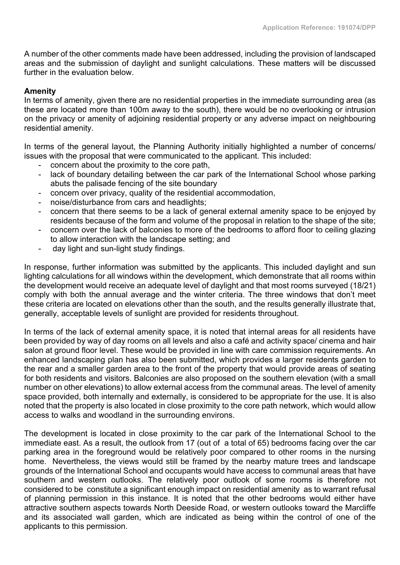A number of the other comments made have been addressed, including the provision of landscaped areas and the submission of daylight and sunlight calculations. These matters will be discussed further in the evaluation below.

## **Amenity**

In terms of amenity, given there are no residential properties in the immediate surrounding area (as these are located more than 100m away to the south), there would be no overlooking or intrusion on the privacy or amenity of adjoining residential property or any adverse impact on neighbouring residential amenity.

In terms of the general layout, the Planning Authority initially highlighted a number of concerns/ issues with the proposal that were communicated to the applicant. This included:

- concern about the proximity to the core path,
- lack of boundary detailing between the car park of the International School whose parking abuts the palisade fencing of the site boundary
- concern over privacy, quality of the residential accommodation,
- noise/disturbance from cars and headlights;
- concern that there seems to be a lack of general external amenity space to be enjoyed by residents because of the form and volume of the proposal in relation to the shape of the site;
- concern over the lack of balconies to more of the bedrooms to afford floor to ceiling glazing to allow interaction with the landscape setting; and
- day light and sun-light study findings.

In response, further information was submitted by the applicants. This included daylight and sun lighting calculations for all windows within the development, which demonstrate that all rooms within the development would receive an adequate level of daylight and that most rooms surveyed (18/21) comply with both the annual average and the winter criteria. The three windows that don't meet these criteria are located on elevations other than the south, and the results generally illustrate that, generally, acceptable levels of sunlight are provided for residents throughout.

In terms of the lack of external amenity space, it is noted that internal areas for all residents have been provided by way of day rooms on all levels and also a café and activity space/ cinema and hair salon at ground floor level. These would be provided in line with care commission requirements. An enhanced landscaping plan has also been submitted, which provides a larger residents garden to the rear and a smaller garden area to the front of the property that would provide areas of seating for both residents and visitors. Balconies are also proposed on the southern elevation (with a small number on other elevations) to allow external access from the communal areas. The level of amenity space provided, both internally and externally, is considered to be appropriate for the use. It is also noted that the property is also located in close proximity to the core path network, which would allow access to walks and woodland in the surrounding environs.

The development is located in close proximity to the car park of the International School to the immediate east. As a result, the outlook from 17 (out of a total of 65) bedrooms facing over the car parking area in the foreground would be relatively poor compared to other rooms in the nursing home. Nevertheless, the views would still be framed by the nearby mature trees and landscape grounds of the International School and occupants would have access to communal areas that have southern and western outlooks. The relatively poor outlook of some rooms is therefore not considered to be constitute a significant enough impact on residential amenity as to warrant refusal of planning permission in this instance. It is noted that the other bedrooms would either have attractive southern aspects towards North Deeside Road, or western outlooks toward the Marcliffe and its associated wall garden, which are indicated as being within the control of one of the applicants to this permission.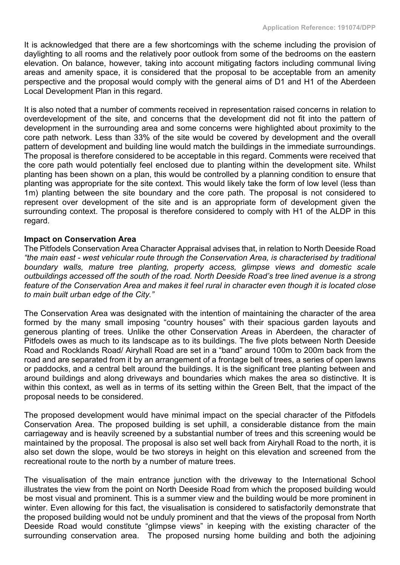It is acknowledged that there are a few shortcomings with the scheme including the provision of daylighting to all rooms and the relatively poor outlook from some of the bedrooms on the eastern elevation. On balance, however, taking into account mitigating factors including communal living areas and amenity space, it is considered that the proposal to be acceptable from an amenity perspective and the proposal would comply with the general aims of D1 and H1 of the Aberdeen Local Development Plan in this regard.

It is also noted that a number of comments received in representation raised concerns in relation to overdevelopment of the site, and concerns that the development did not fit into the pattern of development in the surrounding area and some concerns were highlighted about proximity to the core path network. Less than 33% of the site would be covered by development and the overall pattern of development and building line would match the buildings in the immediate surroundings. The proposal is therefore considered to be acceptable in this regard. Comments were received that the core path would potentially feel enclosed due to planting within the development site. Whilst planting has been shown on a plan, this would be controlled by a planning condition to ensure that planting was appropriate for the site context. This would likely take the form of low level (less than 1m) planting between the site boundary and the core path. The proposal is not considered to represent over development of the site and is an appropriate form of development given the surrounding context. The proposal is therefore considered to comply with H1 of the ALDP in this regard.

#### **Impact on Conservation Area**

The Pitfodels Conservation Area Character Appraisal advises that, in relation to North Deeside Road *"the main east - west vehicular route through the Conservation Area, is characterised by traditional boundary walls, mature tree planting, property access, glimpse views and domestic scale outbuildings accessed off the south of the road. North Deeside Road's tree lined avenue is a strong* feature of the Conservation Area and makes it feel rural in character even though it is located close *to main built urban edge of the City."*

The Conservation Area was designated with the intention of maintaining the character of the area formed by the many small imposing "country houses" with their spacious garden layouts and generous planting of trees. Unlike the other Conservation Areas in Aberdeen, the character of Pitfodels owes as much to its landscape as to its buildings. The five plots between North Deeside Road and Rocklands Road/ Airyhall Road are set in a "band" around 100m to 200m back from the road and are separated from it by an arrangement of a frontage belt of trees, a series of open lawns or paddocks, and a central belt around the buildings. It is the significant tree planting between and around buildings and along driveways and boundaries which makes the area so distinctive. It is within this context, as well as in terms of its setting within the Green Belt, that the impact of the proposal needs to be considered.

The proposed development would have minimal impact on the special character of the Pitfodels Conservation Area. The proposed building is set uphill, a considerable distance from the main carriageway and is heavily screened by a substantial number of trees and this screening would be maintained by the proposal. The proposal is also set well back from Airyhall Road to the north, it is also set down the slope, would be two storeys in height on this elevation and screened from the recreational route to the north by a number of mature trees.

The visualisation of the main entrance junction with the driveway to the International School illustrates the view from the point on North Deeside Road from which the proposed building would be most visual and prominent. This is a summer view and the building would be more prominent in winter. Even allowing for this fact, the visualisation is considered to satisfactorily demonstrate that the proposed building would not be unduly prominent and that the views of the proposal from North Deeside Road would constitute "glimpse views" in keeping with the existing character of the surrounding conservation area. The proposed nursing home building and both the adjoining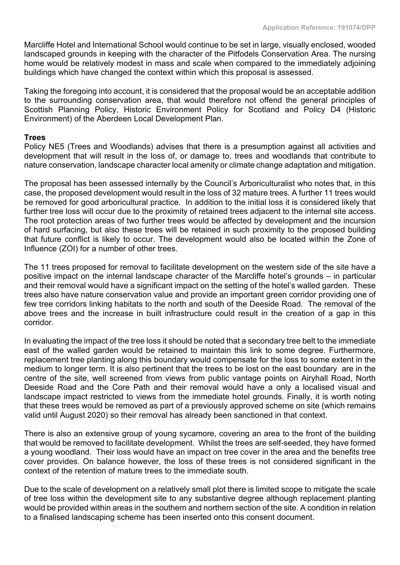Marcliffe Hotel and International School would continue to be set in large, visually enclosed, wooded landscaped grounds in keeping with the character of the Pitfodels Conservation Area. The nursing home would be relatively modest in mass and scale when compared to the immediately adjoining buildings which have changed the context within which this proposal is assessed.

Taking the foregoing into account, it is considered that the proposal would be an acceptable addition to the surrounding conservation area, that would therefore not offend the general principles of Scottish Planning Policy, Historic Environment Policy for Scotland and Policy D4 (Historic Environment) of the Aberdeen Local Development Plan.

#### **Trees**

Policy NE5 (Trees and Woodlands) advises that there is a presumption against all activities and development that will result in the loss of, or damage to, trees and woodlands that contribute to nature conservation, landscape character local amenity or climate change adaptation and mitigation.

The proposal has been assessed internally by the Council's Arboriculturalist who notes that, in this case, the proposed development would result in the loss of 32 mature trees. A further 11 trees would be removed for good arboricultural practice. In addition to the initial loss it is considered likely that further tree loss will occur due to the proximity of retained trees adjacent to the internal site access. The root protection areas of two further trees would be affected by development and the incursion of hard surfacing, but also these trees will be retained in such proximity to the proposed building that future conflict is likely to occur. The development would also be located within the Zone of Influence (ZOI) for a number of other trees.

The 11 trees proposed for removal to facilitate development on the western side of the site have a positive impact on the internal landscape character of the Marcliffe hotel's grounds – in particular and their removal would have a significant impact on the setting of the hotel's walled garden. These trees also have nature conservation value and provide an important green corridor providing one of few tree corridors linking habitats to the north and south of the Deeside Road. The removal of the above trees and the increase in built infrastructure could result in the creation of a gap in this corridor.

In evaluating the impact of the tree loss it should be noted that a secondary tree belt to the immediate east of the walled garden would be retained to maintain this link to some degree. Furthermore, replacement tree planting along this boundary would compensate for the loss to some extent in the medium to longer term. It is also pertinent that the trees to be lost on the east boundary are in the centre of the site, well screened from views from public vantage points on Airyhall Road, North Deeside Road and the Core Path and their removal would have a only a localised visual and landscape impact restricted to views from the immediate hotel grounds. Finally, it is worth noting that these trees would be removed as part of a previously approved scheme on site (which remains valid until August 2020) so their removal has already been sanctioned in that context.

There is also an extensive group of young sycamore, covering an area to the front of the building that would be removed to facilitate development. Whilst the trees are self-seeded, they have formed a young woodland. Their loss would have an impact on tree cover in the area and the benefits tree cover provides. On balance however, the loss of these trees is not considered significant in the context of the retention of mature trees to the immediate south.

Due to the scale of development on a relatively small plot there is limited scope to mitigate the scale of tree loss within the development site to any substantive degree although replacement planting would be provided within areas in the southern and northern section of the site. A condition in relation to a finalised landscaping scheme has been inserted onto this consent document.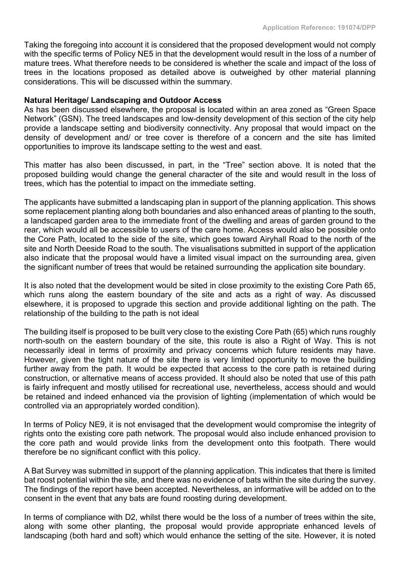Taking the foregoing into account it is considered that the proposed development would not comply with the specific terms of Policy NE5 in that the development would result in the loss of a number of mature trees. What therefore needs to be considered is whether the scale and impact of the loss of trees in the locations proposed as detailed above is outweighed by other material planning considerations. This will be discussed within the summary.

#### **Natural Heritage/ Landscaping and Outdoor Access**

As has been discussed elsewhere, the proposal is located within an area zoned as "Green Space Network" (GSN). The treed landscapes and low-density development of this section of the city help provide a landscape setting and biodiversity connectivity. Any proposal that would impact on the density of development and/ or tree cover is therefore of a concern and the site has limited opportunities to improve its landscape setting to the west and east.

This matter has also been discussed, in part, in the "Tree" section above. It is noted that the proposed building would change the general character of the site and would result in the loss of trees, which has the potential to impact on the immediate setting.

The applicants have submitted a landscaping plan in support of the planning application. This shows some replacement planting along both boundaries and also enhanced areas of planting to the south, a landscaped garden area to the immediate front of the dwelling and areas of garden ground to the rear, which would all be accessible to users of the care home. Access would also be possible onto the Core Path, located to the side of the site, which goes toward Airyhall Road to the north of the site and North Deeside Road to the south. The visualisations submitted in support of the application also indicate that the proposal would have a limited visual impact on the surrounding area, given the significant number of trees that would be retained surrounding the application site boundary.

It is also noted that the development would be sited in close proximity to the existing Core Path 65, which runs along the eastern boundary of the site and acts as a right of way. As discussed elsewhere, it is proposed to upgrade this section and provide additional lighting on the path. The relationship of the building to the path is not ideal

The building itself is proposed to be built very close to the existing Core Path (65) which runs roughly north-south on the eastern boundary of the site, this route is also a Right of Way. This is not necessarily ideal in terms of proximity and privacy concerns which future residents may have. However, given the tight nature of the site there is very limited opportunity to move the building further away from the path. It would be expected that access to the core path is retained during construction, or alternative means of access provided. It should also be noted that use of this path is fairly infrequent and mostly utilised for recreational use, nevertheless, access should and would be retained and indeed enhanced via the provision of lighting (implementation of which would be controlled via an appropriately worded condition).

In terms of Policy NE9, it is not envisaged that the development would compromise the integrity of rights onto the existing core path network. The proposal would also include enhanced provision to the core path and would provide links from the development onto this footpath. There would therefore be no significant conflict with this policy.

A Bat Survey was submitted in support of the planning application. This indicates that there is limited bat roost potential within the site, and there was no evidence of bats within the site during the survey. The findings of the report have been accepted. Nevertheless, an informative will be added on to the consent in the event that any bats are found roosting during development.

In terms of compliance with D2, whilst there would be the loss of a number of trees within the site, along with some other planting, the proposal would provide appropriate enhanced levels of landscaping (both hard and soft) which would enhance the setting of the site. However, it is noted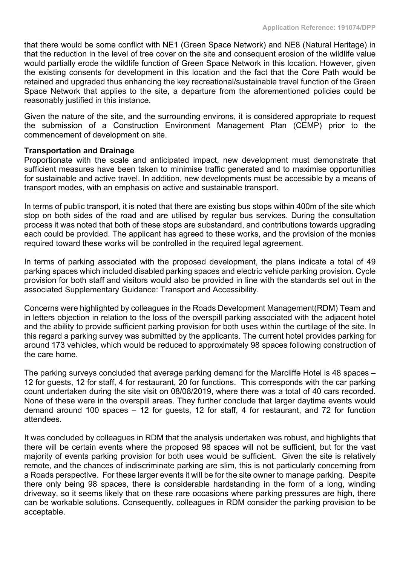that there would be some conflict with NE1 (Green Space Network) and NE8 (Natural Heritage) in that the reduction in the level of tree cover on the site and consequent erosion of the wildlife value would partially erode the wildlife function of Green Space Network in this location. However, given the existing consents for development in this location and the fact that the Core Path would be retained and upgraded thus enhancing the key recreational/sustainable travel function of the Green Space Network that applies to the site, a departure from the aforementioned policies could be reasonably justified in this instance.

Given the nature of the site, and the surrounding environs, it is considered appropriate to request the submission of a Construction Environment Management Plan (CEMP) prior to the commencement of development on site.

#### **Transportation and Drainage**

Proportionate with the scale and anticipated impact, new development must demonstrate that sufficient measures have been taken to minimise traffic generated and to maximise opportunities for sustainable and active travel. In addition, new developments must be accessible by a means of transport modes, with an emphasis on active and sustainable transport.

In terms of public transport, it is noted that there are existing bus stops within 400m of the site which stop on both sides of the road and are utilised by regular bus services. During the consultation process it was noted that both of these stops are substandard, and contributions towards upgrading each could be provided. The applicant has agreed to these works, and the provision of the monies required toward these works will be controlled in the required legal agreement.

In terms of parking associated with the proposed development, the plans indicate a total of 49 parking spaces which included disabled parking spaces and electric vehicle parking provision. Cycle provision for both staff and visitors would also be provided in line with the standards set out in the associated Supplementary Guidance: Transport and Accessibility.

Concerns were highlighted by colleagues in the Roads Development Management(RDM) Team and in letters objection in relation to the loss of the overspill parking associated with the adjacent hotel and the ability to provide sufficient parking provision for both uses within the curtilage of the site. In this regard a parking survey was submitted by the applicants. The current hotel provides parking for around 173 vehicles, which would be reduced to approximately 98 spaces following construction of the care home.

The parking surveys concluded that average parking demand for the Marcliffe Hotel is 48 spaces – 12 for guests, 12 for staff, 4 for restaurant, 20 for functions. This corresponds with the car parking count undertaken during the site visit on 08/08/2019, where there was a total of 40 cars recorded. None of these were in the overspill areas. They further conclude that larger daytime events would demand around 100 spaces – 12 for guests, 12 for staff, 4 for restaurant, and 72 for function attendees.

It was concluded by colleagues in RDM that the analysis undertaken was robust, and highlights that there will be certain events where the proposed 98 spaces will not be sufficient, but for the vast majority of events parking provision for both uses would be sufficient. Given the site is relatively remote, and the chances of indiscriminate parking are slim, this is not particularly concerning from a Roads perspective. For these larger events it will be for the site owner to manage parking. Despite there only being 98 spaces, there is considerable hardstanding in the form of a long, winding driveway, so it seems likely that on these rare occasions where parking pressures are high, there can be workable solutions. Consequently, colleagues in RDM consider the parking provision to be acceptable.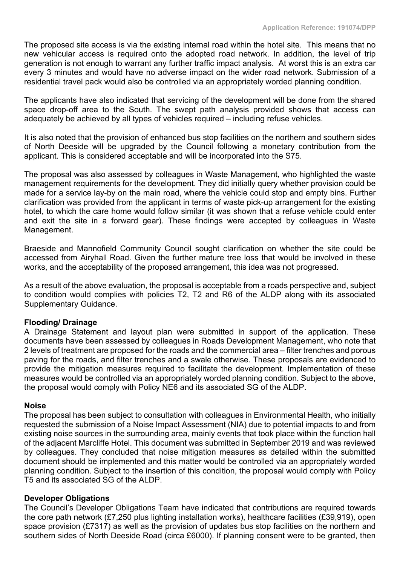The proposed site access is via the existing internal road within the hotel site. This means that no new vehicular access is required onto the adopted road network. In addition, the level of trip generation is not enough to warrant any further traffic impact analysis. At worst this is an extra car every 3 minutes and would have no adverse impact on the wider road network. Submission of a residential travel pack would also be controlled via an appropriately worded planning condition.

The applicants have also indicated that servicing of the development will be done from the shared space drop-off area to the South. The swept path analysis provided shows that access can adequately be achieved by all types of vehicles required – including refuse vehicles.

It is also noted that the provision of enhanced bus stop facilities on the northern and southern sides of North Deeside will be upgraded by the Council following a monetary contribution from the applicant. This is considered acceptable and will be incorporated into the S75.

The proposal was also assessed by colleagues in Waste Management, who highlighted the waste management requirements for the development. They did initially query whether provision could be made for a service lay-by on the main road, where the vehicle could stop and empty bins. Further clarification was provided from the applicant in terms of waste pick-up arrangement for the existing hotel, to which the care home would follow similar (it was shown that a refuse vehicle could enter and exit the site in a forward gear). These findings were accepted by colleagues in Waste Management.

Braeside and Mannofield Community Council sought clarification on whether the site could be accessed from Airyhall Road. Given the further mature tree loss that would be involved in these works, and the acceptability of the proposed arrangement, this idea was not progressed.

As a result of the above evaluation, the proposal is acceptable from a roads perspective and, subject to condition would complies with policies T2, T2 and R6 of the ALDP along with its associated Supplementary Guidance.

## **Flooding/ Drainage**

A Drainage Statement and layout plan were submitted in support of the application. These documents have been assessed by colleagues in Roads Development Management, who note that 2 levels of treatment are proposed for the roads and the commercial area – filter trenches and porous paving for the roads, and filter trenches and a swale otherwise. These proposals are evidenced to provide the mitigation measures required to facilitate the development. Implementation of these measures would be controlled via an appropriately worded planning condition. Subject to the above, the proposal would comply with Policy NE6 and its associated SG of the ALDP.

#### **Noise**

The proposal has been subject to consultation with colleagues in Environmental Health, who initially requested the submission of a Noise Impact Assessment (NIA) due to potential impacts to and from existing noise sources in the surrounding area, mainly events that took place within the function hall of the adjacent Marcliffe Hotel. This document was submitted in September 2019 and was reviewed by colleagues. They concluded that noise mitigation measures as detailed within the submitted document should be implemented and this matter would be controlled via an appropriately worded planning condition. Subject to the insertion of this condition, the proposal would comply with Policy T5 and its associated SG of the ALDP.

#### **Developer Obligations**

The Council's Developer Obligations Team have indicated that contributions are required towards the core path network (£7,250 plus lighting installation works), healthcare facilities (£39,919), open space provision (£7317) as well as the provision of updates bus stop facilities on the northern and southern sides of North Deeside Road (circa £6000). If planning consent were to be granted, then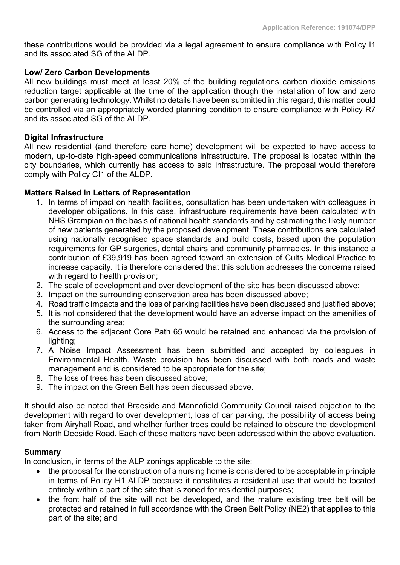these contributions would be provided via a legal agreement to ensure compliance with Policy I1 and its associated SG of the ALDP.

## **Low/ Zero Carbon Developments**

All new buildings must meet at least 20% of the building regulations carbon dioxide emissions reduction target applicable at the time of the application though the installation of low and zero carbon generating technology. Whilst no details have been submitted in this regard, this matter could be controlled via an appropriately worded planning condition to ensure compliance with Policy R7 and its associated SG of the ALDP.

#### **Digital Infrastructure**

All new residential (and therefore care home) development will be expected to have access to modern, up-to-date high-speed communications infrastructure. The proposal is located within the city boundaries, which currently has access to said infrastructure. The proposal would therefore comply with Policy CI1 of the ALDP.

#### **Matters Raised in Letters of Representation**

- 1. In terms of impact on health facilities, consultation has been undertaken with colleagues in developer obligations. In this case, infrastructure requirements have been calculated with NHS Grampian on the basis of national health standards and by estimating the likely number of new patients generated by the proposed development. These contributions are calculated using nationally recognised space standards and build costs, based upon the population requirements for GP surgeries, dental chairs and community pharmacies. In this instance a contribution of £39,919 has been agreed toward an extension of Cults Medical Practice to increase capacity. It is therefore considered that this solution addresses the concerns raised with regard to health provision;
- 2. The scale of development and over development of the site has been discussed above;
- 3. Impact on the surrounding conservation area has been discussed above;
- 4. Road traffic impacts and the loss of parking facilities have been discussed and justified above;
- 5. It is not considered that the development would have an adverse impact on the amenities of the surrounding area;
- 6. Access to the adjacent Core Path 65 would be retained and enhanced via the provision of lighting;
- 7. A Noise Impact Assessment has been submitted and accepted by colleagues in Environmental Health. Waste provision has been discussed with both roads and waste management and is considered to be appropriate for the site;
- 8. The loss of trees has been discussed above;
- 9. The impact on the Green Belt has been discussed above.

It should also be noted that Braeside and Mannofield Community Council raised objection to the development with regard to over development, loss of car parking, the possibility of access being taken from Airyhall Road, and whether further trees could be retained to obscure the development from North Deeside Road. Each of these matters have been addressed within the above evaluation.

## **Summary**

In conclusion, in terms of the ALP zonings applicable to the site:

- the proposal for the construction of a nursing home is considered to be acceptable in principle in terms of Policy H1 ALDP because it constitutes a residential use that would be located entirely within a part of the site that is zoned for residential purposes;
- the front half of the site will not be developed, and the mature existing tree belt will be protected and retained in full accordance with the Green Belt Policy (NE2) that applies to this part of the site; and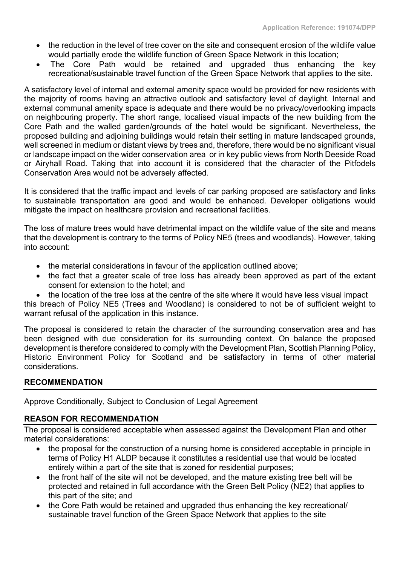- the reduction in the level of tree cover on the site and consequent erosion of the wildlife value would partially erode the wildlife function of Green Space Network in this location;
- The Core Path would be retained and upgraded thus enhancing the key recreational/sustainable travel function of the Green Space Network that applies to the site.

A satisfactory level of internal and external amenity space would be provided for new residents with the majority of rooms having an attractive outlook and satisfactory level of daylight. Internal and external communal amenity space is adequate and there would be no privacy/overlooking impacts on neighbouring property. The short range, localised visual impacts of the new building from the Core Path and the walled garden/grounds of the hotel would be significant. Nevertheless, the proposed building and adjoining buildings would retain their setting in mature landscaped grounds, well screened in medium or distant views by trees and, therefore, there would be no significant visual or landscape impact on the wider conservation area or in key public views from North Deeside Road or Airyhall Road. Taking that into account it is considered that the character of the Pitfodels Conservation Area would not be adversely affected.

It is considered that the traffic impact and levels of car parking proposed are satisfactory and links to sustainable transportation are good and would be enhanced. Developer obligations would mitigate the impact on healthcare provision and recreational facilities.

The loss of mature trees would have detrimental impact on the wildlife value of the site and means that the development is contrary to the terms of Policy NE5 (trees and woodlands). However, taking into account:

- the material considerations in favour of the application outlined above;
- the fact that a greater scale of tree loss has already been approved as part of the extant consent for extension to the hotel; and
- the location of the tree loss at the centre of the site where it would have less visual impact

this breach of Policy NE5 (Trees and Woodland) is considered to not be of sufficient weight to warrant refusal of the application in this instance.

The proposal is considered to retain the character of the surrounding conservation area and has been designed with due consideration for its surrounding context. On balance the proposed development is therefore considered to comply with the Development Plan, Scottish Planning Policy, Historic Environment Policy for Scotland and be satisfactory in terms of other material considerations.

## **RECOMMENDATION**

Approve Conditionally, Subject to Conclusion of Legal Agreement

## **REASON FOR RECOMMENDATION**

The proposal is considered acceptable when assessed against the Development Plan and other material considerations:

- the proposal for the construction of a nursing home is considered acceptable in principle in terms of Policy H1 ALDP because it constitutes a residential use that would be located entirely within a part of the site that is zoned for residential purposes;
- the front half of the site will not be developed, and the mature existing tree belt will be protected and retained in full accordance with the Green Belt Policy (NE2) that applies to this part of the site; and
- the Core Path would be retained and upgraded thus enhancing the key recreational/ sustainable travel function of the Green Space Network that applies to the site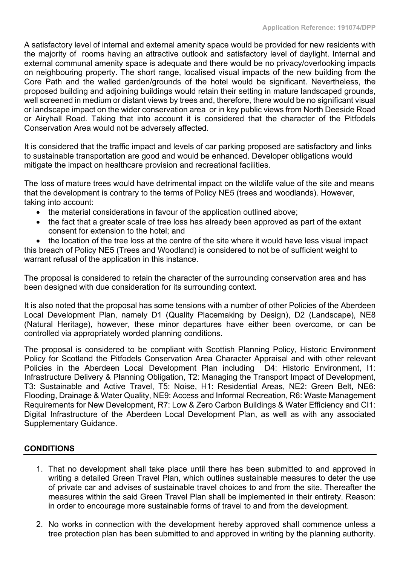A satisfactory level of internal and external amenity space would be provided for new residents with the majority of rooms having an attractive outlook and satisfactory level of daylight. Internal and external communal amenity space is adequate and there would be no privacy/overlooking impacts on neighbouring property. The short range, localised visual impacts of the new building from the Core Path and the walled garden/grounds of the hotel would be significant. Nevertheless, the proposed building and adjoining buildings would retain their setting in mature landscaped grounds, well screened in medium or distant views by trees and, therefore, there would be no significant visual or landscape impact on the wider conservation area or in key public views from North Deeside Road or Airyhall Road. Taking that into account it is considered that the character of the Pitfodels Conservation Area would not be adversely affected.

It is considered that the traffic impact and levels of car parking proposed are satisfactory and links to sustainable transportation are good and would be enhanced. Developer obligations would mitigate the impact on healthcare provision and recreational facilities.

The loss of mature trees would have detrimental impact on the wildlife value of the site and means that the development is contrary to the terms of Policy NE5 (trees and woodlands). However, taking into account:

- the material considerations in favour of the application outlined above;
- the fact that a greater scale of tree loss has already been approved as part of the extant consent for extension to the hotel; and

• the location of the tree loss at the centre of the site where it would have less visual impact this breach of Policy NE5 (Trees and Woodland) is considered to not be of sufficient weight to warrant refusal of the application in this instance.

The proposal is considered to retain the character of the surrounding conservation area and has been designed with due consideration for its surrounding context.

It is also noted that the proposal has some tensions with a number of other Policies of the Aberdeen Local Development Plan, namely D1 (Quality Placemaking by Design), D2 (Landscape), NE8 (Natural Heritage), however, these minor departures have either been overcome, or can be controlled via appropriately worded planning conditions.

The proposal is considered to be compliant with Scottish Planning Policy, Historic Environment Policy for Scotland the Pitfodels Conservation Area Character Appraisal and with other relevant Policies in the Aberdeen Local Development Plan including D4: Historic Environment, I1: Infrastructure Delivery & Planning Obligation, T2: Managing the Transport Impact of Development, T3: Sustainable and Active Travel, T5: Noise, H1: Residential Areas, NE2: Green Belt, NE6: Flooding, Drainage & Water Quality, NE9: Access and Informal Recreation, R6: Waste Management Requirements for New Development, R7: Low & Zero Carbon Buildings & Water Efficiency and CI1: Digital Infrastructure of the Aberdeen Local Development Plan, as well as with any associated Supplementary Guidance.

## **CONDITIONS**

- 1. That no development shall take place until there has been submitted to and approved in writing a detailed Green Travel Plan, which outlines sustainable measures to deter the use of private car and advises of sustainable travel choices to and from the site. Thereafter the measures within the said Green Travel Plan shall be implemented in their entirety. Reason: in order to encourage more sustainable forms of travel to and from the development.
- 2. No works in connection with the development hereby approved shall commence unless a tree protection plan has been submitted to and approved in writing by the planning authority.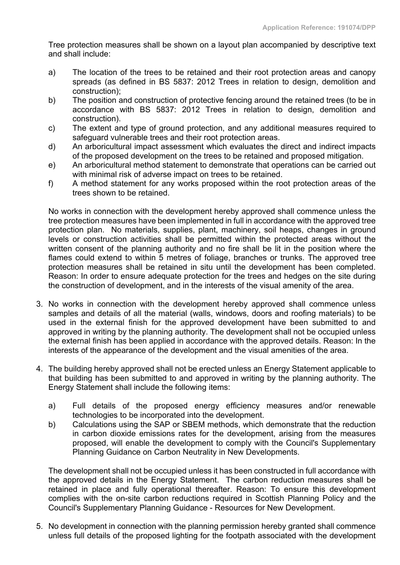Tree protection measures shall be shown on a layout plan accompanied by descriptive text and shall include:

- a) The location of the trees to be retained and their root protection areas and canopy spreads (as defined in BS 5837: 2012 Trees in relation to design, demolition and construction);
- b) The position and construction of protective fencing around the retained trees (to be in accordance with BS 5837: 2012 Trees in relation to design, demolition and construction).
- c) The extent and type of ground protection, and any additional measures required to safeguard vulnerable trees and their root protection areas.
- d) An arboricultural impact assessment which evaluates the direct and indirect impacts of the proposed development on the trees to be retained and proposed mitigation.
- e) An arboricultural method statement to demonstrate that operations can be carried out with minimal risk of adverse impact on trees to be retained.
- f) A method statement for any works proposed within the root protection areas of the trees shown to be retained.

No works in connection with the development hereby approved shall commence unless the tree protection measures have been implemented in full in accordance with the approved tree protection plan. No materials, supplies, plant, machinery, soil heaps, changes in ground levels or construction activities shall be permitted within the protected areas without the written consent of the planning authority and no fire shall be lit in the position where the flames could extend to within 5 metres of foliage, branches or trunks. The approved tree protection measures shall be retained in situ until the development has been completed. Reason: In order to ensure adequate protection for the trees and hedges on the site during the construction of development, and in the interests of the visual amenity of the area.

- 3. No works in connection with the development hereby approved shall commence unless samples and details of all the material (walls, windows, doors and roofing materials) to be used in the external finish for the approved development have been submitted to and approved in writing by the planning authority. The development shall not be occupied unless the external finish has been applied in accordance with the approved details. Reason: In the interests of the appearance of the development and the visual amenities of the area.
- 4. The building hereby approved shall not be erected unless an Energy Statement applicable to that building has been submitted to and approved in writing by the planning authority. The Energy Statement shall include the following items:
	- a) Full details of the proposed energy efficiency measures and/or renewable technologies to be incorporated into the development.
	- b) Calculations using the SAP or SBEM methods, which demonstrate that the reduction in carbon dioxide emissions rates for the development, arising from the measures proposed, will enable the development to comply with the Council's Supplementary Planning Guidance on Carbon Neutrality in New Developments.

The development shall not be occupied unless it has been constructed in full accordance with the approved details in the Energy Statement. The carbon reduction measures shall be retained in place and fully operational thereafter. Reason: To ensure this development complies with the on-site carbon reductions required in Scottish Planning Policy and the Council's Supplementary Planning Guidance - Resources for New Development.

5. No development in connection with the planning permission hereby granted shall commence unless full details of the proposed lighting for the footpath associated with the development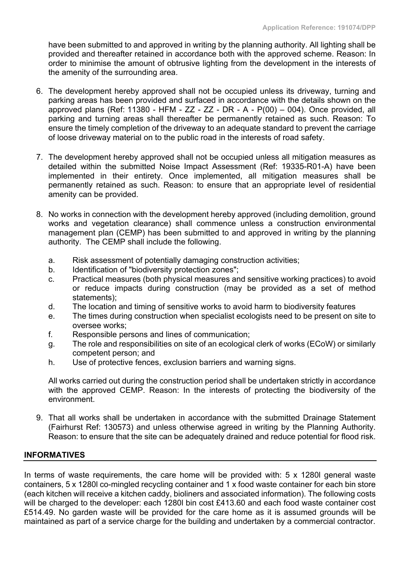have been submitted to and approved in writing by the planning authority. All lighting shall be provided and thereafter retained in accordance both with the approved scheme. Reason: In order to minimise the amount of obtrusive lighting from the development in the interests of the amenity of the surrounding area.

- 6. The development hereby approved shall not be occupied unless its driveway, turning and parking areas has been provided and surfaced in accordance with the details shown on the approved plans (Ref: 11380 - HFM -  $ZZ$  -  $ZZ$  - DR - A -  $P(00) - 004$ ). Once provided, all parking and turning areas shall thereafter be permanently retained as such. Reason: To ensure the timely completion of the driveway to an adequate standard to prevent the carriage of loose driveway material on to the public road in the interests of road safety.
- 7. The development hereby approved shall not be occupied unless all mitigation measures as detailed within the submitted Noise Impact Assessment (Ref: 19335-R01-A) have been implemented in their entirety. Once implemented, all mitigation measures shall be permanently retained as such. Reason: to ensure that an appropriate level of residential amenity can be provided.
- 8. No works in connection with the development hereby approved (including demolition, ground works and vegetation clearance) shall commence unless a construction environmental management plan (CEMP) has been submitted to and approved in writing by the planning authority. The CEMP shall include the following.
	- a. Risk assessment of potentially damaging construction activities;
	- b. Identification of "biodiversity protection zones";
	- c. Practical measures (both physical measures and sensitive working practices) to avoid or reduce impacts during construction (may be provided as a set of method statements);
	- d. The location and timing of sensitive works to avoid harm to biodiversity features
	- e. The times during construction when specialist ecologists need to be present on site to oversee works;
	- f. Responsible persons and lines of communication;
	- g. The role and responsibilities on site of an ecological clerk of works (ECoW) or similarly competent person; and
	- h. Use of protective fences, exclusion barriers and warning signs.

All works carried out during the construction period shall be undertaken strictly in accordance with the approved CEMP. Reason: In the interests of protecting the biodiversity of the environment.

9. That all works shall be undertaken in accordance with the submitted Drainage Statement (Fairhurst Ref: 130573) and unless otherwise agreed in writing by the Planning Authority. Reason: to ensure that the site can be adequately drained and reduce potential for flood risk.

## **INFORMATIVES**

In terms of waste requirements, the care home will be provided with: 5 x 1280l general waste containers, 5 x 1280l co-mingled recycling container and 1 x food waste container for each bin store (each kitchen will receive a kitchen caddy, bioliners and associated information). The following costs will be charged to the developer: each 1280l bin cost £413.60 and each food waste container cost £514.49. No garden waste will be provided for the care home as it is assumed grounds will be maintained as part of a service charge for the building and undertaken by a commercial contractor.